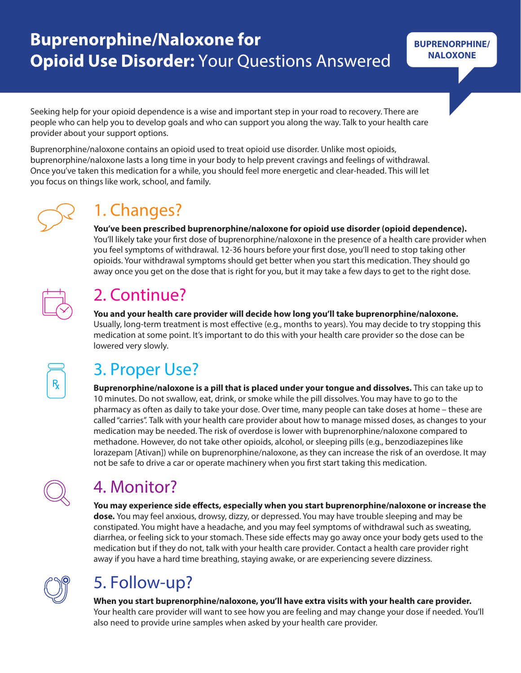# **Buprenorphine/Naloxone for Opioid Use Disorder: Your Questions Answered**

Seeking help for your opioid dependence is a wise and important step in your road to recovery. There are people who can help you to develop goals and who can support you along the way. Talk to your health care provider about your support options.

Buprenorphine/naloxone contains an opioid used to treat opioid use disorder. Unlike most opioids, buprenorphine/naloxone lasts a long time in your body to help prevent cravings and feelings of withdrawal. Once you've taken this medication for a while, you should feel more energetic and clear-headed. This will let you focus on things like work, school, and family.



#### 1. Changes?

**You've been prescribed buprenorphine/naloxone for opioid use disorder (opioid dependence).**  You'll likely take your first dose of buprenorphine/naloxone in the presence of a health care provider when you feel symptoms of withdrawal. 12-36 hours before your first dose, you'll need to stop taking other opioids. Your withdrawal symptoms should get better when you start this medication. They should go away once you get on the dose that is right for you, but it may take a few days to get to the right dose.



## 2. Continue?

**You and your health care provider will decide how long you'll take buprenorphine/naloxone.**

Usually, long-term treatment is most effective (e.g., months to years). You may decide to try stopping this medication at some point. It's important to do this with your health care provider so the dose can be lowered very slowly.



# 3. Proper Use?

**Buprenorphine/naloxone is a pill that is placed under your tongue and dissolves.** This can take up to 10 minutes. Do not swallow, eat, drink, or smoke while the pill dissolves. You may have to go to the pharmacy as often as daily to take your dose. Over time, many people can take doses at home – these are called "carries". Talk with your health care provider about how to manage missed doses, as changes to your medication may be needed. The risk of overdose is lower with buprenorphine/naloxone compared to methadone. However, do not take other opioids, alcohol, or sleeping pills (e.g., benzodiazepines like lorazepam [Ativan]) while on buprenorphine/naloxone, as they can increase the risk of an overdose. It may not be safe to drive a car or operate machinery when you first start taking this medication.



## 4. Monitor?

You may experience side effects, especially when you start buprenorphine/naloxone or increase the **dose.** You may feel anxious, drowsy, dizzy, or depressed. You may have trouble sleeping and may be constipated. You might have a headache, and you may feel symptoms of withdrawal such as sweating, diarrhea, or feeling sick to your stomach. These side effects may go away once your body gets used to the medication but if they do not, talk with your health care provider. Contact a health care provider right away if you have a hard time breathing, staying awake, or are experiencing severe dizziness.



# 5. Follow-up?

**When you start buprenorphine/naloxone, you'll have extra visits with your health care provider.**  Your health care provider will want to see how you are feeling and may change your dose if needed. You'll also need to provide urine samples when asked by your health care provider.